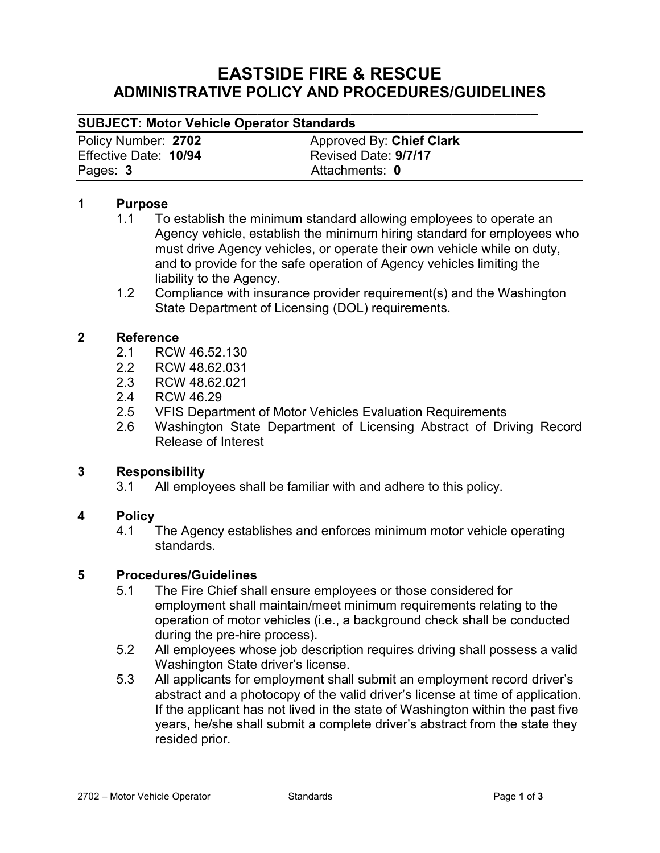# **EASTSIDE FIRE & RESCUE ADMINISTRATIVE POLICY AND PROCEDURES/GUIDELINES**

#### **\_\_\_\_\_\_\_\_\_\_\_\_\_\_\_\_\_\_\_\_\_\_\_\_\_\_\_\_\_\_\_\_\_\_\_\_\_\_\_\_\_\_\_\_\_\_\_\_\_\_\_\_\_\_\_\_\_\_\_\_\_\_\_\_ SUBJECT: Motor Vehicle Operator Standards**

Effective Date: **10/94** Pages: **3** Attachments: **0**

Policy Number: 2702 **Approved By: Chief Clark**<br>
Effective Date: 10/94 **Alternative By: Chief Clark**<br>
Revised Date: 9/7/17

#### **1 Purpose**

- 1.1 To establish the minimum standard allowing employees to operate an Agency vehicle, establish the minimum hiring standard for employees who must drive Agency vehicles, or operate their own vehicle while on duty, and to provide for the safe operation of Agency vehicles limiting the liability to the Agency.
- 1.2 Compliance with insurance provider requirement(s) and the Washington State Department of Licensing (DOL) requirements.

### **2 Reference**

- 2.1 RCW 46.52.130
- 2.2 RCW 48.62.031
- 2.3 RCW 48.62.021
- 2.4 RCW 46.29
- 2.5 VFIS Department of Motor Vehicles Evaluation Requirements
- 2.6 Washington State Department of Licensing Abstract of Driving Record Release of Interest

### **3 Responsibility**

3.1 All employees shall be familiar with and adhere to this policy.

### **4 Policy**

4.1 The Agency establishes and enforces minimum motor vehicle operating standards.

### **5 Procedures/Guidelines**

- 5.1 The Fire Chief shall ensure employees or those considered for employment shall maintain/meet minimum requirements relating to the operation of motor vehicles (i.e., a background check shall be conducted during the pre-hire process).
- 5.2 All employees whose job description requires driving shall possess a valid Washington State driver's license.
- 5.3 All applicants for employment shall submit an employment record driver's abstract and a photocopy of the valid driver's license at time of application. If the applicant has not lived in the state of Washington within the past five years, he/she shall submit a complete driver's abstract from the state they resided prior.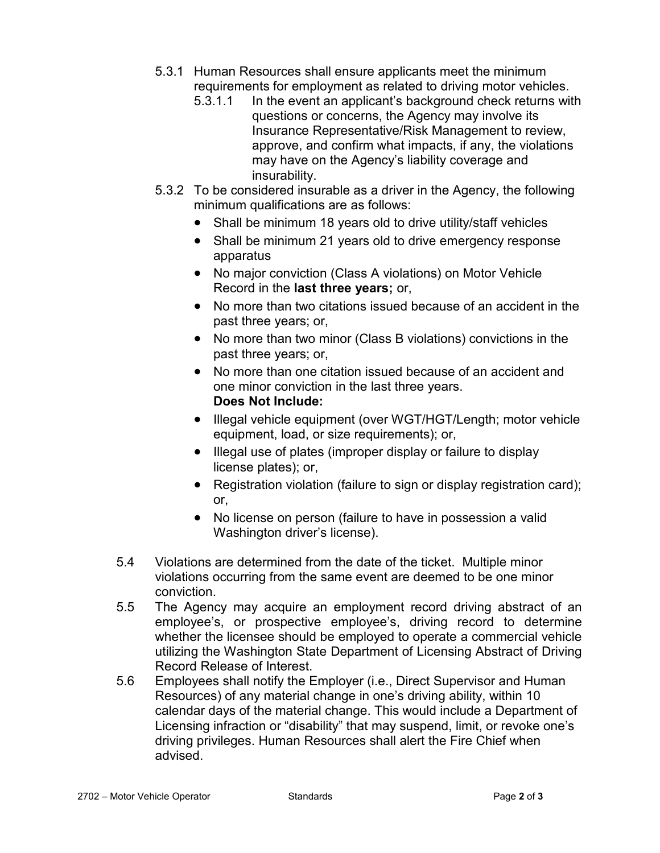- 5.3.1 Human Resources shall ensure applicants meet the minimum requirements for employment as related to driving motor vehicles.
	- 5.3.1.1 In the event an applicant's background check returns with questions or concerns, the Agency may involve its Insurance Representative/Risk Management to review, approve, and confirm what impacts, if any, the violations may have on the Agency's liability coverage and insurability.
- 5.3.2 To be considered insurable as a driver in the Agency, the following minimum qualifications are as follows:
	- Shall be minimum 18 years old to drive utility/staff vehicles
	- Shall be minimum 21 years old to drive emergency response apparatus
	- No major conviction (Class A violations) on Motor Vehicle Record in the **last three years;** or,
	- No more than two citations issued because of an accident in the past three years; or,
	- No more than two minor (Class B violations) convictions in the past three years; or,
	- No more than one citation issued because of an accident and one minor conviction in the last three years. **Does Not Include:**
	- Illegal vehicle equipment (over WGT/HGT/Length; motor vehicle equipment, load, or size requirements); or,
	- Illegal use of plates (improper display or failure to display license plates); or,
	- Registration violation (failure to sign or display registration card); or,
	- No license on person (failure to have in possession a valid Washington driver's license).
- 5.4 Violations are determined from the date of the ticket. Multiple minor violations occurring from the same event are deemed to be one minor conviction.
- 5.5 The Agency may acquire an employment record driving abstract of an employee's, or prospective employee's, driving record to determine whether the licensee should be employed to operate a commercial vehicle utilizing the Washington State Department of Licensing Abstract of Driving Record Release of Interest.
- 5.6 Employees shall notify the Employer (i.e., Direct Supervisor and Human Resources) of any material change in one's driving ability, within 10 calendar days of the material change. This would include a Department of Licensing infraction or "disability" that may suspend, limit, or revoke one's driving privileges. Human Resources shall alert the Fire Chief when advised.